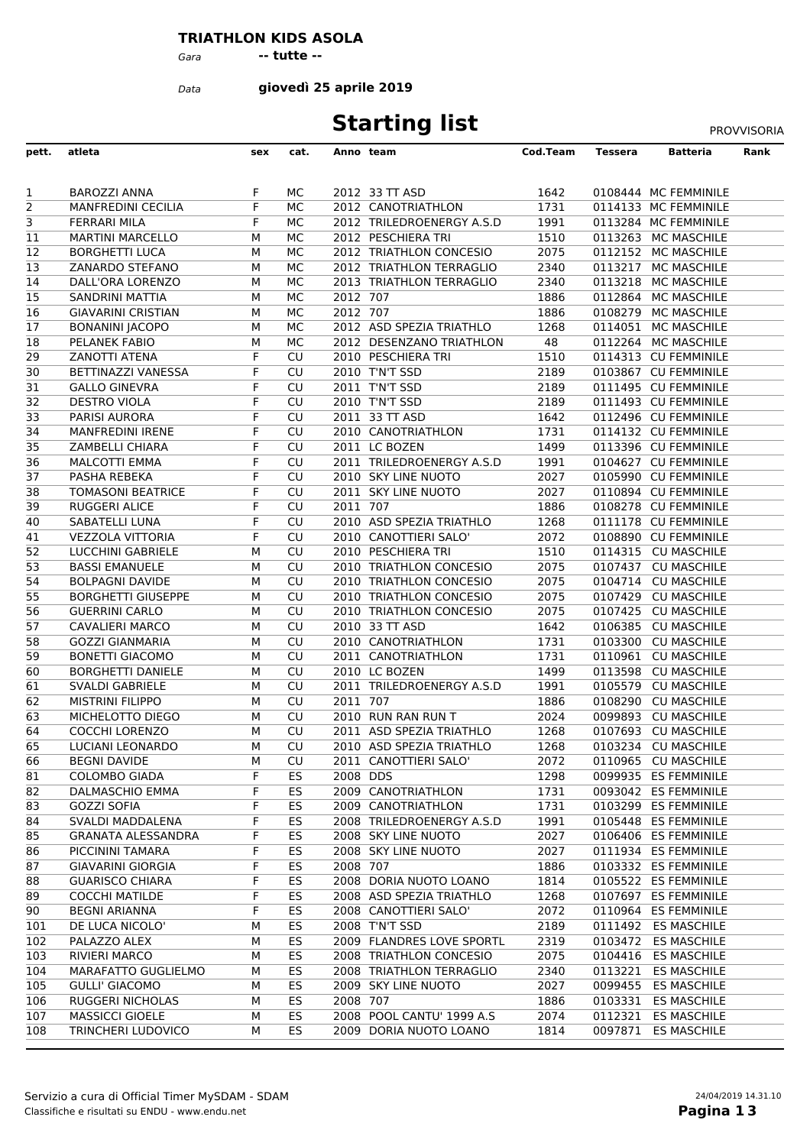## **TRIATHLON KIDS ASOLA**

*Gara* **-- tutte --**

*Data*

**giovedì 25 aprile 2019**

## **Starting list** PROVVISORIA

| pett.          | atleta                                             | sex    | cat.      |          | Anno team                                          | Cod.Team     | Tessera | <b>Batteria</b>                            | Rank |
|----------------|----------------------------------------------------|--------|-----------|----------|----------------------------------------------------|--------------|---------|--------------------------------------------|------|
|                |                                                    |        |           |          |                                                    |              |         |                                            |      |
| $\mathbf{1}$   | <b>BAROZZI ANNA</b>                                | F      | MC.       |          | 2012 33 TT ASD                                     | 1642         |         | 0108444 MC FEMMINILE                       |      |
| $\overline{2}$ | <b>MANFREDINI CECILIA</b>                          | F.     | МC        |          | 2012 CANOTRIATHLON                                 | 1731         |         | 0114133 MC FEMMINILE                       |      |
| $\overline{3}$ | FERRARI MILA                                       | F      | МC        |          | 2012 TRILEDROENERGY A.S.D                          | 1991         |         | 0113284 MC FEMMINILE                       |      |
| 11             | <b>MARTINI MARCELLO</b>                            | М      | МC        |          | 2012 PESCHIERA TRI                                 | 1510         |         | 0113263 MC MASCHILE                        |      |
| 12             | <b>BORGHETTI LUCA</b>                              | М      | MC        |          | 2012 TRIATHLON CONCESIO                            | 2075         |         | 0112152 MC MASCHILE                        |      |
| 13             | ZANARDO STEFANO                                    | М      | МC        |          | 2012 TRIATHLON TERRAGLIO                           | 2340         | 0113217 | <b>MC MASCHILE</b>                         |      |
| 14             | DALL'ORA LORENZO                                   | м      | МC        |          | 2013 TRIATHLON TERRAGLIO                           | 2340         | 0113218 | <b>MC MASCHILE</b>                         |      |
| 15             | <b>SANDRINI MATTIA</b>                             | М      | МC        | 2012 707 |                                                    | 1886         |         | 0112864 MC MASCHILE                        |      |
| 16             | <b>GIAVARINI CRISTIAN</b>                          | м      | МC        | 2012 707 |                                                    | 1886         |         | 0108279 MC MASCHILE                        |      |
| 17             | <b>BONANINI JACOPO</b>                             | м      | МC        |          | 2012 ASD SPEZIA TRIATHLO                           | 1268         |         | 0114051 MC MASCHILE                        |      |
| 18             | <b>PELANEK FABIO</b>                               | М      | MC        |          | 2012 DESENZANO TRIATHLON                           | 48           |         | 0112264 MC MASCHILE                        |      |
| 29             | ZANOTTI ATENA                                      | F      | CU        |          | 2010 PESCHIERA TRI                                 | 1510         |         | 0114313 CU FEMMINILE                       |      |
| 30             | BETTINAZZI VANESSA                                 | F      | CU        |          | 2010 T'N'T SSD                                     | 2189         |         | 0103867 CU FEMMINILE                       |      |
| 31             | <b>GALLO GINEVRA</b>                               | F      | CU        |          | 2011 T'N'T SSD                                     | 2189         |         | 0111495 CU FEMMINILE                       |      |
| 32             | <b>DESTRO VIOLA</b>                                | F      | CU        |          | 2010 T'N'T SSD                                     | 2189         |         | 0111493 CU FEMMINILE                       |      |
| 33             | PARISI AURORA                                      | F      | CU        |          | 2011 33 TT ASD                                     | 1642         |         | 0112496 CU FEMMINILE                       |      |
| 34             | <b>MANFREDINI IRENE</b>                            | F      | CU        |          | 2010 CANOTRIATHLON                                 | 1731         |         | 0114132 CU FEMMINILE                       |      |
| 35             | ZAMBELLI CHIARA                                    | F      | CU        |          | 2011 LC BOZEN                                      | 1499         |         | 0113396 CU FEMMINILE                       |      |
| 36             | <b>MALCOTTI EMMA</b>                               | F      | CU        |          | 2011 TRILEDROENERGY A.S.D                          | 1991         |         | 0104627 CU FEMMINILE                       |      |
| 37             | PASHA REBEKA                                       | F.     | CU        |          | 2010 SKY LINE NUOTO                                | 2027         |         | 0105990 CU FEMMINILE                       |      |
| 38             | <b>TOMASONI BEATRICE</b>                           | F      | CU        |          | 2011 SKY LINE NUOTO                                | 2027         |         | 0110894 CU FEMMINILE                       |      |
| 39             | <b>RUGGERI ALICE</b>                               | F      | CU        | 2011 707 |                                                    | 1886         |         | 0108278 CU FEMMINILE                       |      |
| 40             | <b>SABATELLI LUNA</b>                              | F      | CU        |          | 2010 ASD SPEZIA TRIATHLO                           | 1268         |         | 0111178 CU FEMMINILE                       |      |
| 41             | <b>VEZZOLA VITTORIA</b>                            | F      | CU        |          | 2010 CANOTTIERI SALO'                              | 2072         |         | 0108890 CU FEMMINILE                       |      |
| 52             | LUCCHINI GABRIELE                                  | М      | CU        |          | 2010 PESCHIERA TRI                                 | 1510         |         | 0114315 CU MASCHILE                        |      |
| 53             | <b>BASSI EMANUELE</b>                              | М      | CU        |          | 2010 TRIATHLON CONCESIO                            | 2075         |         | 0107437 CU MASCHILE                        |      |
| 54             | <b>BOLPAGNI DAVIDE</b>                             | м      | CU        |          | 2010 TRIATHLON CONCESIO                            | 2075         |         | 0104714 CU MASCHILE                        |      |
| 55             | <b>BORGHETTI GIUSEPPE</b><br><b>GUERRINI CARLO</b> | м      | CU<br>CU  |          | 2010 TRIATHLON CONCESIO<br>2010 TRIATHLON CONCESIO | 2075<br>2075 |         | 0107429 CU MASCHILE<br>0107425 CU MASCHILE |      |
| 56<br>57       | <b>CAVALIERI MARCO</b>                             | М<br>М | CU        |          | 2010 33 TT ASD                                     | 1642         |         | 0106385 CU MASCHILE                        |      |
| 58             | <b>GOZZI GIANMARIA</b>                             | М      | CU        |          | 2010 CANOTRIATHLON                                 | 1731         | 0103300 | <b>CU MASCHILE</b>                         |      |
| 59             | <b>BONETTI GIACOMO</b>                             | М      | CU        |          | 2011 CANOTRIATHLON                                 | 1731         |         | 0110961 CU MASCHILE                        |      |
| 60             | <b>BORGHETTI DANIELE</b>                           | м      | CU        |          | 2010 LC BOZEN                                      | 1499         |         | 0113598 CU MASCHILE                        |      |
| 61             | <b>SVALDI GABRIELE</b>                             | М      | CU        |          | 2011 TRILEDROENERGY A.S.D                          | 1991         | 0105579 | <b>CU MASCHILE</b>                         |      |
| 62             | <b>MISTRINI FILIPPO</b>                            | м      | CU        | 2011 707 |                                                    | 1886         |         | 0108290 CU MASCHILE                        |      |
| 63             | MICHELOTTO DIEGO                                   | м      | CU        |          | 2010 RUN RAN RUN T                                 | 2024         | 0099893 | <b>CU MASCHILE</b>                         |      |
| 64             | <b>COCCHI LORENZO</b>                              | М      | CU        |          | 2011 ASD SPEZIA TRIATHLO                           | 1268         | 0107693 | <b>CU MASCHILE</b>                         |      |
| 65             | LUCIANI LEONARDO                                   | М      | CU        |          | 2010 ASD SPEZIA TRIATHLO                           | 1268         |         | 0103234 CU MASCHILE                        |      |
| 66             | <b>BEGNI DAVIDE</b>                                | М      | CU        |          | 2011 CANOTTIERI SALO'                              | 2072         |         | 0110965 CU MASCHILE                        |      |
| 81             | COLOMBO GIADA                                      | F      | ES        | 2008 DDS |                                                    | 1298         |         | 0099935 ES FEMMINILE                       |      |
| 82             | <b>DALMASCHIO EMMA</b>                             | F      | ES        |          | 2009 CANOTRIATHLON                                 | 1731         |         | 0093042 ES FEMMINILE                       |      |
| 83             | <b>GOZZI SOFIA</b>                                 | F      | ES        |          | 2009 CANOTRIATHLON                                 | 1731         |         | 0103299 ES FEMMINILE                       |      |
| 84             | SVALDI MADDALENA                                   | F      | ES        |          | 2008 TRILEDROENERGY A.S.D                          | 1991         |         | 0105448 ES FEMMINILE                       |      |
| 85             | GRANATA ALESSANDRA                                 | F      | ES        |          | 2008 SKY LINE NUOTO                                | 2027         |         | 0106406 ES FEMMINILE                       |      |
| 86             | PICCININI TAMARA                                   | F      | ES        |          | 2008 SKY LINE NUOTO                                | 2027         |         | 0111934 ES FEMMINILE                       |      |
| 87             | <b>GIAVARINI GIORGIA</b>                           | F      | ES        | 2008 707 |                                                    | 1886         |         | 0103332 ES FEMMINILE                       |      |
| 88             | <b>GUARISCO CHIARA</b>                             | F      | ES        |          | 2008 DORIA NUOTO LOANO                             | 1814         |         | 0105522 ES FEMMINILE                       |      |
| 89             | <b>COCCHI MATILDE</b>                              | F      | ES        |          | 2008 ASD SPEZIA TRIATHLO                           | 1268         | 0107697 | <b>ES FEMMINILE</b>                        |      |
| 90             | <b>BEGNI ARIANNA</b>                               | F      | ES        |          | 2008 CANOTTIERI SALO'                              | 2072         | 0110964 | <b>ES FEMMINILE</b>                        |      |
| 101            | DE LUCA NICOLO'                                    | м      | ES        |          | 2008 T'N'T SSD                                     | 2189         |         | 0111492 ES MASCHILE                        |      |
| 102            | PALAZZO ALEX                                       | М      | <b>ES</b> |          | 2009 FLANDRES LOVE SPORTL                          | 2319         | 0103472 | <b>ES MASCHILE</b>                         |      |
| 103            | RIVIERI MARCO                                      | М      | ES        |          | 2008 TRIATHLON CONCESIO                            | 2075         | 0104416 | <b>ES MASCHILE</b>                         |      |
| 104            | MARAFATTO GUGLIELMO                                | м      | ES        |          | 2008 TRIATHLON TERRAGLIO                           | 2340         | 0113221 | <b>ES MASCHILE</b>                         |      |
| 105            | <b>GULLI' GIACOMO</b>                              | М      | <b>ES</b> |          | 2009 SKY LINE NUOTO                                | 2027         | 0099455 | <b>ES MASCHILE</b>                         |      |
| 106            | RUGGERI NICHOLAS                                   | М      | ES        | 2008 707 |                                                    | 1886         | 0103331 | <b>ES MASCHILE</b>                         |      |
| 107            | <b>MASSICCI GIOELE</b>                             | М      | ES        |          | 2008 POOL CANTU' 1999 A.S.                         | 2074         | 0112321 | <b>ES MASCHILE</b>                         |      |
| 108            | TRINCHERI LUDOVICO                                 | М      | ES        |          | 2009 DORIA NUOTO LOANO                             | 1814         | 0097871 | <b>ES MASCHILE</b>                         |      |
|                |                                                    |        |           |          |                                                    |              |         |                                            |      |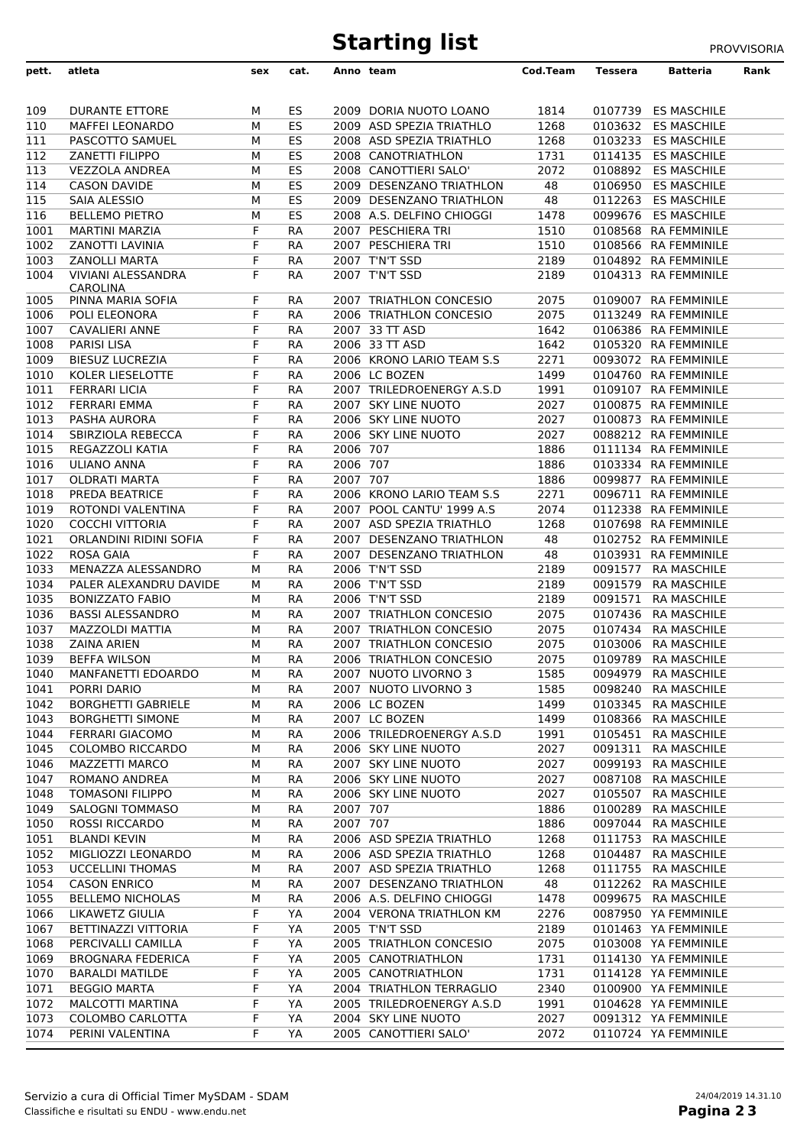## **Starting list** PROVVISORIA

| pett.      | atleta                    | sex | cat.      |          | Anno team                 | Cod.Team | Tessera | Batteria             | Rank |
|------------|---------------------------|-----|-----------|----------|---------------------------|----------|---------|----------------------|------|
|            |                           |     |           |          |                           |          |         |                      |      |
|            |                           |     |           |          |                           |          |         |                      |      |
| 109        | <b>DURANTE ETTORE</b>     | м   | ES        |          | 2009 DORIA NUOTO LOANO    | 1814     |         | 0107739 ES MASCHILE  |      |
| 110        | <b>MAFFEI LEONARDO</b>    | м   | ES        |          | 2009 ASD SPEZIA TRIATHLO  | 1268     |         | 0103632 ES MASCHILE  |      |
| 111        | PASCOTTO SAMUEL           | м   | ES        |          | 2008 ASD SPEZIA TRIATHLO  | 1268     |         | 0103233 ES MASCHILE  |      |
| <b>112</b> | <b>ZANETTI FILIPPO</b>    | м   | ES        |          | 2008 CANOTRIATHLON        | 1731     |         | 0114135 ES MASCHILE  |      |
| 113        | <b>VEZZOLA ANDREA</b>     | м   | ES        |          | 2008 CANOTTIERI SALO'     | 2072     |         | 0108892 ES MASCHILE  |      |
| 114        | <b>CASON DAVIDE</b>       | М   | ES        |          | 2009 DESENZANO TRIATHLON  | 48       | 0106950 | <b>ES MASCHILE</b>   |      |
| 115        | SAIA ALESSIO              | М   | ES        |          | 2009 DESENZANO TRIATHLON  | 48       | 0112263 | <b>ES MASCHILE</b>   |      |
| 116        | <b>BELLEMO PIETRO</b>     | М   | ES        |          | 2008 A.S. DELFINO CHIOGGI | 1478     |         | 0099676 ES MASCHILE  |      |
| 1001       | <b>MARTINI MARZIA</b>     | F   | RA        |          | 2007 PESCHIERA TRI        | 1510     |         | 0108568 RA FEMMINILE |      |
| 1002       | ZANOTTI LAVINIA           | F   | <b>RA</b> |          | 2007 PESCHIERA TRI        | 1510     |         | 0108566 RA FEMMINILE |      |
| 1003       | <b>ZANOLLI MARTA</b>      | F   | RA        |          | 2007 T'N'T SSD            | 2189     |         | 0104892 RA FEMMINILE |      |
| 1004       | VIVIANI ALESSANDRA        | F   | RA        |          | 2007 T'N'T SSD            | 2189     |         | 0104313 RA FEMMINILE |      |
|            | <b>CAROLINA</b>           |     |           |          |                           |          |         |                      |      |
| 1005       | PINNA MARIA SOFIA         | F.  | RA        |          | 2007 TRIATHLON CONCESIO   | 2075     |         | 0109007 RA FEMMINILE |      |
| 1006       | POLI ELEONORA             | F   | RA        |          | 2006 TRIATHLON CONCESIO   | 2075     |         | 0113249 RA FEMMINILE |      |
| 1007       | <b>CAVALIERI ANNE</b>     | F   | RA        |          | 2007 33 TT ASD            | 1642     |         | 0106386 RA FEMMINILE |      |
| 1008       | <b>PARISI LISA</b>        | F   | RA        |          | 2006 33 TT ASD            | 1642     |         | 0105320 RA FEMMINILE |      |
| 1009       | <b>BIESUZ LUCREZIA</b>    | F   | RA        |          | 2006 KRONO LARIO TEAM S.S | 2271     |         | 0093072 RA FEMMINILE |      |
| 1010       | KOLER LIESELOTTE          | F   | RA        |          | 2006 LC BOZEN             | 1499     |         | 0104760 RA FEMMINILE |      |
| 1011       | <b>FERRARI LICIA</b>      | F   | RA        |          | 2007 TRILEDROENERGY A.S.D | 1991     |         | 0109107 RA FEMMINILE |      |
| 1012       | <b>FERRARI EMMA</b>       | F   | RA        |          | 2007 SKY LINE NUOTO       | 2027     |         | 0100875 RA FEMMINILE |      |
| 1013       | PASHA AURORA              | F   | RA        |          | 2006 SKY LINE NUOTO       | 2027     |         | 0100873 RA FEMMINILE |      |
| 1014       | SBIRZIOLA REBECCA         | F   | RA        |          | 2006 SKY LINE NUOTO       | 2027     |         | 0088212 RA FEMMINILE |      |
| 1015       | REGAZZOLI KATIA           | F   | RA        | 2006 707 |                           | 1886     |         | 0111134 RA FEMMINILE |      |
| 1016       | <b>ULIANO ANNA</b>        | F   | RA        | 2006 707 |                           | 1886     |         | 0103334 RA FEMMINILE |      |
| 1017       | <b>OLDRATI MARTA</b>      | F   | RA        | 2007 707 |                           | 1886     |         | 0099877 RA FEMMINILE |      |
| 1018       | PREDA BEATRICE            | F   | RA        |          | 2006 KRONO LARIO TEAM S.S | 2271     |         | 0096711 RA FEMMINILE |      |
| 1019       | ROTONDI VALENTINA         | F   | RA        |          | 2007 POOL CANTU' 1999 A.S | 2074     |         | 0112338 RA FEMMINILE |      |
| 1020       | <b>COCCHI VITTORIA</b>    | F   | RA        |          | 2007 ASD SPEZIA TRIATHLO  | 1268     |         | 0107698 RA FEMMINILE |      |
| 1021       | ORLANDINI RIDINI SOFIA    | F   | RA        |          | 2007 DESENZANO TRIATHLON  | 48       |         | 0102752 RA FEMMINILE |      |
| 1022       | <b>ROSA GAIA</b>          | F   | RA        |          | 2007 DESENZANO TRIATHLON  | 48       |         | 0103931 RA FEMMINILE |      |
| 1033       | MENAZZA ALESSANDRO        | м   | RA        |          | 2006 T'N'T SSD            | 2189     |         | 0091577 RA MASCHILE  |      |
| 1034       | PALER ALEXANDRU DAVIDE    | м   | RA        |          | 2006 T'N'T SSD            | 2189     |         | 0091579 RA MASCHILE  |      |
| 1035       | <b>BONIZZATO FABIO</b>    | м   | RA        |          | 2006 T'N'T SSD            | 2189     |         | 0091571 RA MASCHILE  |      |
| 1036       | <b>BASSI ALESSANDRO</b>   |     | RA        |          | 2007 TRIATHLON CONCESIO   | 2075     |         | 0107436 RA MASCHILE  |      |
|            |                           | м   |           |          |                           |          |         |                      |      |
| 1037       | MAZZOLDI MATTIA           | м   | RA        |          | 2007 TRIATHLON CONCESIO   | 2075     | 0107434 | <b>RA MASCHILE</b>   |      |
| 1038       | <b>ZAINA ARIEN</b>        | м   | RA        |          | 2007 TRIATHLON CONCESIO   | 2075     |         | 0103006 RA MASCHILE  |      |
| 1039       | <b>BEFFA WILSON</b>       | м   | RA        |          | 2006 TRIATHLON CONCESIO   | 2075     |         | 0109789 RA MASCHILE  |      |
| 1040       | MANFANETTI EDOARDO        | М   | RA        |          | 2007 NUOTO LIVORNO 3      | 1585     | 0094979 | <b>RA MASCHILE</b>   |      |
| 1041       | PORRI DARIO               | м   | RA        |          | 2007 NUOTO LIVORNO 3      | 1585     |         | 0098240 RA MASCHILE  |      |
| 1042       | <b>BORGHETTI GABRIELE</b> | м   | RA        |          | 2006 LC BOZEN             | 1499     |         | 0103345 RA MASCHILE  |      |
| 1043       | <b>BORGHETTI SIMONE</b>   | М   | RA        |          | 2007 LC BOZEN             | 1499     | 0108366 | <b>RA MASCHILE</b>   |      |
| 1044       | FERRARI GIACOMO           | М   | RA        |          | 2006 TRILEDROENERGY A.S.D | 1991     | 0105451 | <b>RA MASCHILE</b>   |      |
| 1045       | COLOMBO RICCARDO          | М   | RA        |          | 2006 SKY LINE NUOTO       | 2027     | 0091311 | <b>RA MASCHILE</b>   |      |
| 1046       | <b>MAZZETTI MARCO</b>     | м   | RA        |          | 2007 SKY LINE NUOTO       | 2027     | 0099193 | RA MASCHILE          |      |
| 1047       | ROMANO ANDREA             | М   | RA        |          | 2006 SKY LINE NUOTO       | 2027     | 0087108 | <b>RA MASCHILE</b>   |      |
| 1048       | <b>TOMASONI FILIPPO</b>   | М   | RA        |          | 2006 SKY LINE NUOTO       | 2027     | 0105507 | <b>RA MASCHILE</b>   |      |
| 1049       | <b>SALOGNI TOMMASO</b>    | М   | RA        | 2007 707 |                           | 1886     | 0100289 | <b>RA MASCHILE</b>   |      |
| 1050       | ROSSI RICCARDO            | м   | RA        | 2007 707 |                           | 1886     | 0097044 | <b>RA MASCHILE</b>   |      |
| 1051       | <b>BLANDI KEVIN</b>       | М   | RA        |          | 2006 ASD SPEZIA TRIATHLO  | 1268     | 0111753 | <b>RA MASCHILE</b>   |      |
| 1052       | MIGLIOZZI LEONARDO        | м   | RA        |          | 2006 ASD SPEZIA TRIATHLO  | 1268     | 0104487 | <b>RA MASCHILE</b>   |      |
| 1053       | <b>UCCELLINI THOMAS</b>   | м   | RA        |          | 2007 ASD SPEZIA TRIATHLO  | 1268     | 0111755 | <b>RA MASCHILE</b>   |      |
| 1054       | <b>CASON ENRICO</b>       | М   | RA        |          | 2007 DESENZANO TRIATHLON  | 48       | 0112262 | <b>RA MASCHILE</b>   |      |
| 1055       | <b>BELLEMO NICHOLAS</b>   | М   | RA        |          | 2006 A.S. DELFINO CHIOGGI | 1478     | 0099675 | <b>RA MASCHILE</b>   |      |
| 1066       | LIKAWETZ GIULIA           | F   | YA        |          | 2004 VERONA TRIATHLON KM  | 2276     |         | 0087950 YA FEMMINILE |      |
| 1067       | BETTINAZZI VITTORIA       | F   | YA        |          | 2005 T'N'T SSD            | 2189     |         | 0101463 YA FEMMINILE |      |
| 1068       | PERCIVALLI CAMILLA        | F   | YA        |          | 2005 TRIATHLON CONCESIO   | 2075     |         | 0103008 YA FEMMINILE |      |
| 1069       | <b>BROGNARA FEDERICA</b>  | F   | YA        |          | 2005 CANOTRIATHLON        | 1731     |         | 0114130 YA FEMMINILE |      |
| 1070       | <b>BARALDI MATILDE</b>    | F   | YA        |          | 2005 CANOTRIATHLON        | 1731     |         | 0114128 YA FEMMINILE |      |
|            |                           |     | YA        |          | 2004 TRIATHLON TERRAGLIO  |          |         | 0100900 YA FEMMINILE |      |
| 1071       | <b>BEGGIO MARTA</b>       | F   |           |          |                           | 2340     |         |                      |      |
| 1072       | MALCOTTI MARTINA          | F   | YA        |          | 2005 TRILEDROENERGY A.S.D | 1991     |         | 0104628 YA FEMMINILE |      |
| 1073       | COLOMBO CARLOTTA          | F   | YA        |          | 2004 SKY LINE NUOTO       | 2027     |         | 0091312 YA FEMMINILE |      |
| 1074       | PERINI VALENTINA          | F   | YA        |          | 2005 CANOTTIERI SALO'     | 2072     |         | 0110724 YA FEMMINILE |      |